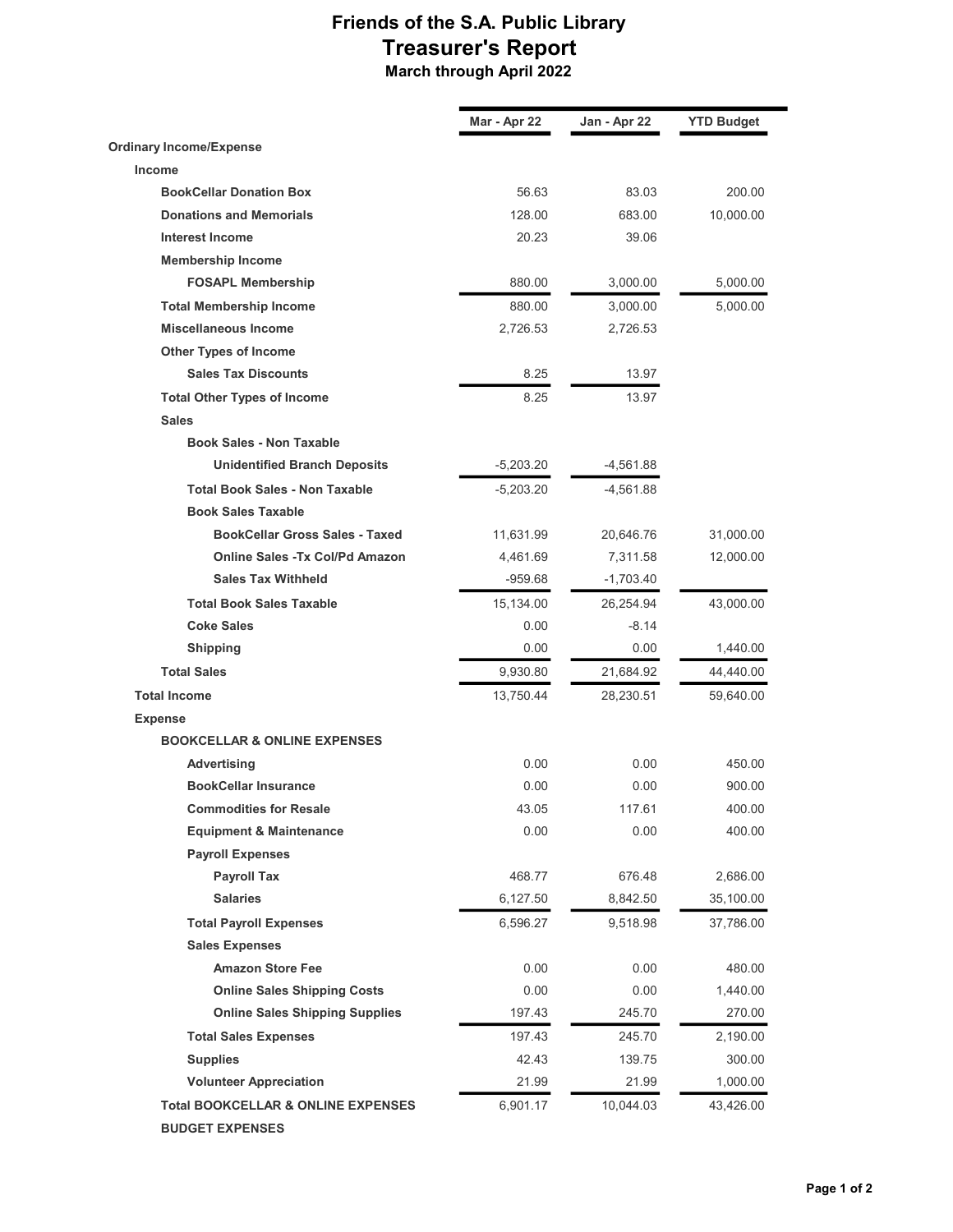## Friends of the S.A. Public Library Treasurer's Report March through April 2022

|                                         | Mar - Apr 22 | Jan - Apr 22 | <b>YTD Budget</b> |
|-----------------------------------------|--------------|--------------|-------------------|
| <b>Ordinary Income/Expense</b>          |              |              |                   |
| <b>Income</b>                           |              |              |                   |
| <b>BookCellar Donation Box</b>          | 56.63        | 83.03        | 200.00            |
| <b>Donations and Memorials</b>          | 128.00       | 683.00       | 10,000.00         |
| <b>Interest Income</b>                  | 20.23        | 39.06        |                   |
| <b>Membership Income</b>                |              |              |                   |
| <b>FOSAPL Membership</b>                | 880.00       | 3,000.00     | 5,000.00          |
| <b>Total Membership Income</b>          | 880.00       | 3,000.00     | 5,000.00          |
| <b>Miscellaneous Income</b>             | 2,726.53     | 2,726.53     |                   |
| <b>Other Types of Income</b>            |              |              |                   |
| <b>Sales Tax Discounts</b>              | 8.25         | 13.97        |                   |
| <b>Total Other Types of Income</b>      | 8.25         | 13.97        |                   |
| <b>Sales</b>                            |              |              |                   |
| <b>Book Sales - Non Taxable</b>         |              |              |                   |
| <b>Unidentified Branch Deposits</b>     | $-5,203.20$  | $-4,561.88$  |                   |
| <b>Total Book Sales - Non Taxable</b>   | $-5,203.20$  | -4,561.88    |                   |
| <b>Book Sales Taxable</b>               |              |              |                   |
| <b>BookCellar Gross Sales - Taxed</b>   | 11,631.99    | 20,646.76    | 31,000.00         |
| <b>Online Sales - Tx Col/Pd Amazon</b>  | 4,461.69     | 7,311.58     | 12,000.00         |
| <b>Sales Tax Withheld</b>               | $-959.68$    | $-1,703.40$  |                   |
| <b>Total Book Sales Taxable</b>         | 15,134.00    | 26,254.94    | 43,000.00         |
| <b>Coke Sales</b>                       | 0.00         | $-8.14$      |                   |
| <b>Shipping</b>                         | 0.00         | 0.00         | 1,440.00          |
| <b>Total Sales</b>                      | 9,930.80     | 21,684.92    | 44,440.00         |
| <b>Total Income</b>                     | 13,750.44    | 28,230.51    | 59,640.00         |
| <b>Expense</b>                          |              |              |                   |
| <b>BOOKCELLAR &amp; ONLINE EXPENSES</b> |              |              |                   |
| <b>Advertising</b>                      | 0.00         | 0.00         | 450.00            |
| <b>BookCellar Insurance</b>             | 0.00         | 0.00         | 900.00            |
| <b>Commodities for Resale</b>           | 43.05        | 117.61       | 400.00            |
| <b>Equipment &amp; Maintenance</b>      | 0.00         | 0.00         | 400.00            |
| <b>Payroll Expenses</b>                 |              |              |                   |
| <b>Payroll Tax</b>                      | 468.77       | 676.48       | 2,686.00          |
| <b>Salaries</b>                         | 6,127.50     | 8,842.50     | 35,100.00         |
| <b>Total Payroll Expenses</b>           | 6,596.27     | 9,518.98     | 37,786.00         |
| <b>Sales Expenses</b>                   |              |              |                   |
| <b>Amazon Store Fee</b>                 | 0.00         | 0.00         | 480.00            |
| <b>Online Sales Shipping Costs</b>      | 0.00         | 0.00         | 1,440.00          |
| <b>Online Sales Shipping Supplies</b>   | 197.43       | 245.70       | 270.00            |
| <b>Total Sales Expenses</b>             | 197.43       | 245.70       | 2,190.00          |
| <b>Supplies</b>                         | 42.43        | 139.75       | 300.00            |
| <b>Volunteer Appreciation</b>           | 21.99        | 21.99        | 1,000.00          |
|                                         |              |              |                   |